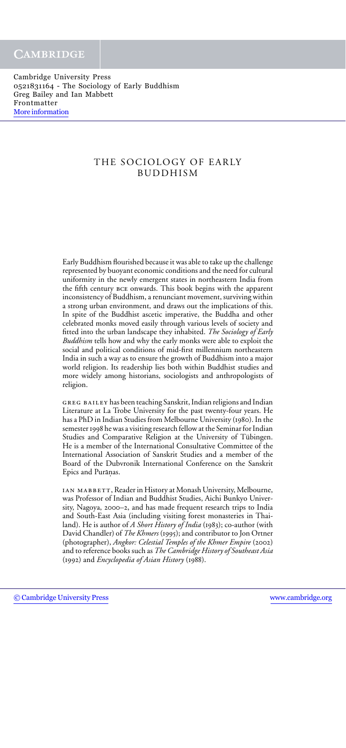#### THE SOCIOLOGY OF EARLY BUDDHISM

Early Buddhism flourished because it was able to take up the challenge represented by buoyant economic conditions and the need for cultural uniformity in the newly emergent states in northeastern India from the fifth century bce onwards. This book begins with the apparent inconsistency of Buddhism, a renunciant movement, surviving within a strong urban environment, and draws out the implications of this. In spite of the Buddhist ascetic imperative, the Buddha and other celebrated monks moved easily through various levels of society and fitted into the urban landscape they inhabited. *The Sociology of Early Buddhism* tells how and why the early monks were able to exploit the social and political conditions of mid-first millennium northeastern India in such a way as to ensure the growth of Buddhism into a major world religion. Its readership lies both within Buddhist studies and more widely among historians, sociologists and anthropologists of religion.

greg bailey has been teaching Sanskrit, Indian religions and Indian Literature at La Trobe University for the past twenty-four years. He has a PhD in Indian Studies from Melbourne University (1980). In the semester 1998 he was a visiting research fellow at the Seminar for Indian Studies and Comparative Religion at the University of Tübingen. He is a member of the International Consultative Committee of the International Association of Sanskrit Studies and a member of the Board of the Dubvronik International Conference on the Sanskrit Epics and Purānas.

IAN MABBETT, Reader in History at Monash University, Melbourne, was Professor of Indian and Buddhist Studies, Aichi Bunkyo University, Nagoya, 2000–2, and has made frequent research trips to India and South-East Asia (including visiting forest monasteries in Thailand). He is author of *A Short History of India* (1983); co-author (with David Chandler) of *The Khmers* (1995); and contributor to Jon Ortner (photographer), *Angkor: Celestial Temples of the Khmer Empire* (2002) and to reference books such as *The Cambridge History of Southeast Asia* (1992) and *Encyclopedia of Asian History* (1988).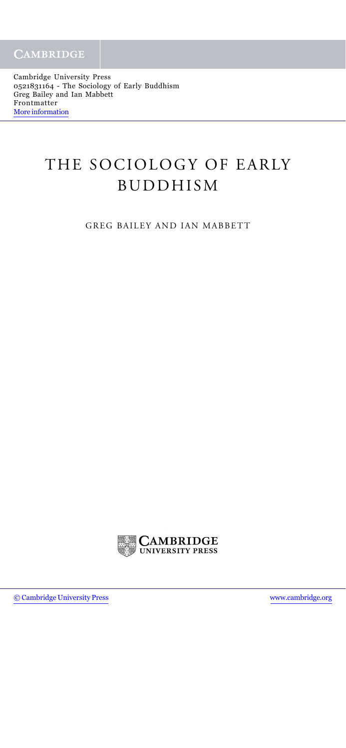# THE SOCIOLOGY OF EARLY BUDDHISM

GREG BAILEY AND IAN MABBETT



[© Cambridge University Press](http://www.cambridge.org) [www.cambridge.org](http://www.cambridge.org)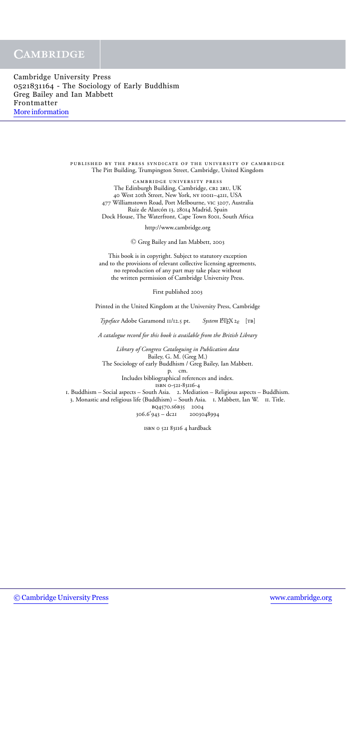#### **CAMBRIDGE**

Cambridge University Press 0521831164 - The Sociology of Early Buddhism Greg Bailey and Ian Mabbett Frontmatter [More information](http://www.cambridge.org/0521831164)

> published by the press syndicate of the university of cambridge The Pitt Building, Trumpington Street, Cambridge, United Kingdom

> > cambridge university press The Edinburgh Building, Cambridge, CB2 2RU, UK 40 West 20th Street, New York, ny 10011–4211, USA 477 Williamstown Road, Port Melbourne, vic 3207, Australia Ruiz de Alarcón 13, 28014 Madrid, Spain Dock House, The Waterfront, Cape Town 8001, South Africa

> > > http://www.cambridge.org

<sup>C</sup> Greg Bailey and Ian Mabbett, 2003

This book is in copyright. Subject to statutory exception and to the provisions of relevant collective licensing agreements, no reproduction of any part may take place without the written permission of Cambridge University Press.

First published 2003

Printed in the United Kingdom at the University Press, Cambridge

*Typeface* Adobe Garamond 11/12.5 pt.  $System ETrX_{2\varepsilon}$  [TB]

*A catalogue record for this book is available from the British Library*

*Library of Congress Cataloguing in Publication data* Bailey, G. M. (Greg M.) The Sociology of early Buddhism / Greg Bailey, Ian Mabbett. p. cm. Includes bibliographical references and index. isbn 0-521-83116-4 1. Buddhism – Social aspects – South Asia. 2. Mediation – Religious aspects – Buddhism. 3. Monastic and religious life (Buddhism) – South Asia. I. Mabbett, Ian W. II. Title. bq4570.s6b35 2004 306.6- 2003048994

isbn 0 521 83116 4 hardback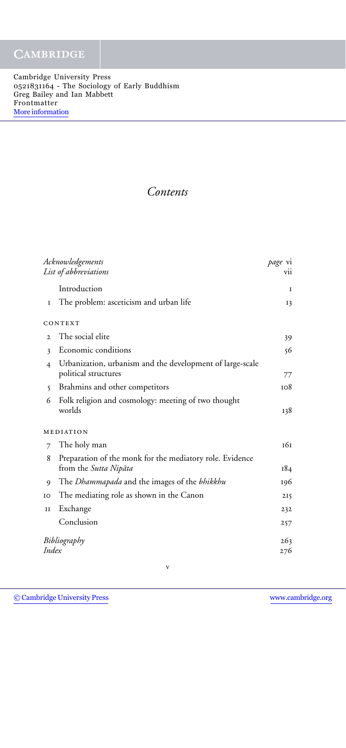## *Contents*

| Acknowledgements<br>List of abbreviations |                                                                                   | <i>page</i> vi<br>vii |
|-------------------------------------------|-----------------------------------------------------------------------------------|-----------------------|
|                                           | Introduction                                                                      |                       |
|                                           |                                                                                   | 1                     |
| I                                         | The problem: asceticism and urban life                                            | 13                    |
|                                           | CONTEXT                                                                           |                       |
| $\overline{2}$                            | The social elite                                                                  | 39                    |
| 3                                         | Economic conditions                                                               | 56                    |
| $\overline{4}$                            | Urbanization, urbanism and the development of large-scale<br>political structures | 77                    |
| $\mathsf{S}$                              | Brahmins and other competitors                                                    | 108                   |
| 6                                         | Folk religion and cosmology: meeting of two thought<br>worlds                     | 138                   |
|                                           | MEDIATION                                                                         |                       |
| 7                                         | The holy man                                                                      | 161                   |
| 8                                         | Preparation of the monk for the mediatory role. Evidence                          |                       |
|                                           | from the Sutta Nipāta                                                             | 184                   |
| 9                                         | The <i>Dhammapada</i> and the images of the <i>bhikkhu</i>                        | 196                   |
| IO                                        | The mediating role as shown in the Canon                                          | 2I5                   |
| $_{\rm II}$                               | Exchange                                                                          | 232                   |
|                                           | Conclusion                                                                        | 257                   |
| Bibliography                              |                                                                                   | 263                   |
| Index                                     |                                                                                   | 276                   |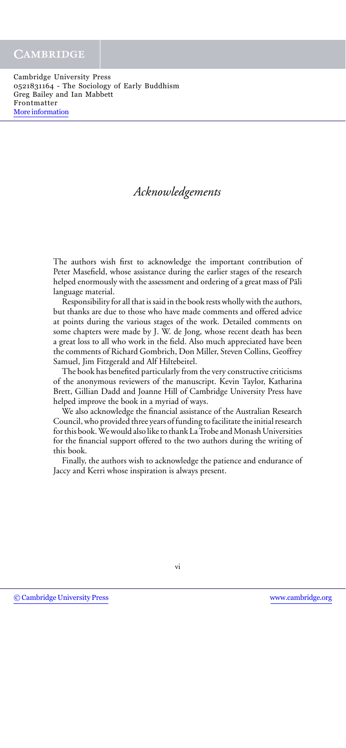## *Acknowledgements*

The authors wish first to acknowledge the important contribution of Peter Masefield, whose assistance during the earlier stages of the research helped enormously with the assessment and ordering of a great mass of Pāli language material.

Responsibility for all that is said in the book rests wholly with the authors, but thanks are due to those who have made comments and offered advice at points during the various stages of the work. Detailed comments on some chapters were made by J. W. de Jong, whose recent death has been a great loss to all who work in the field. Also much appreciated have been the comments of Richard Gombrich, Don Miller, Steven Collins, Geoffrey Samuel, Jim Fitzgerald and Alf Hiltebeitel.

The book has benefited particularly from the very constructive criticisms of the anonymous reviewers of the manuscript. Kevin Taylor, Katharina Brett, Gillian Dadd and Joanne Hill of Cambridge University Press have helped improve the book in a myriad of ways.

We also acknowledge the financial assistance of the Australian Research Council, who provided three years of funding to facilitate the initial research for this book. We would also like to thank La Trobe and Monash Universities for the financial support offered to the two authors during the writing of this book.

Finally, the authors wish to acknowledge the patience and endurance of Jaccy and Kerri whose inspiration is always present.